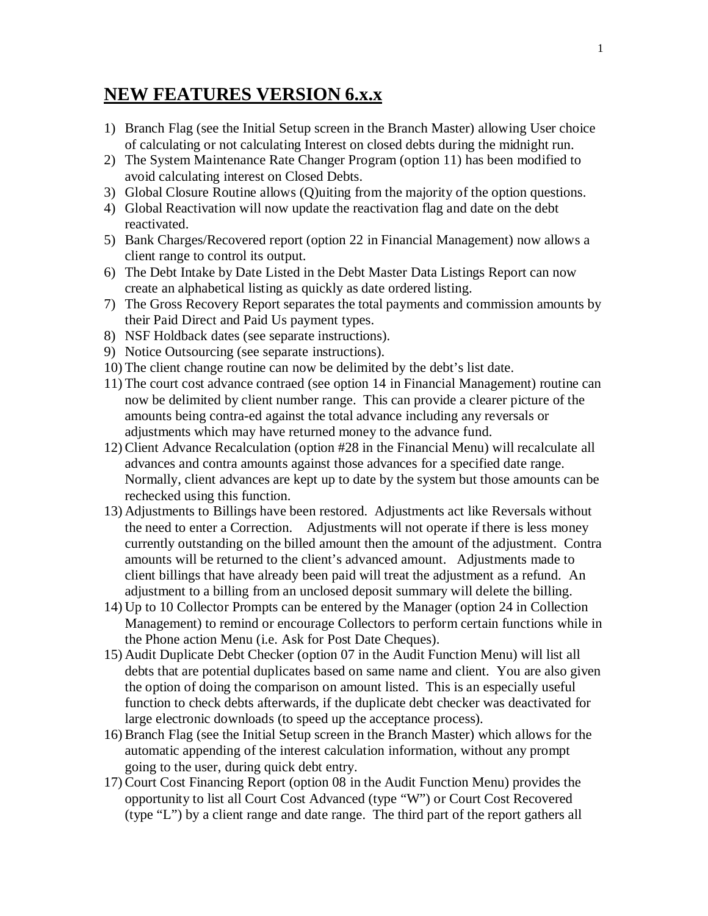## **NEW FEATURES VERSION 6.x.x**

- 1) Branch Flag (see the Initial Setup screen in the Branch Master) allowing User choice of calculating or not calculating Interest on closed debts during the midnight run.
- 2) The System Maintenance Rate Changer Program (option 11) has been modified to avoid calculating interest on Closed Debts.
- 3) Global Closure Routine allows (Q)uiting from the majority of the option questions.
- 4) Global Reactivation will now update the reactivation flag and date on the debt reactivated.
- 5) Bank Charges/Recovered report (option 22 in Financial Management) now allows a client range to control its output.
- 6) The Debt Intake by Date Listed in the Debt Master Data Listings Report can now create an alphabetical listing as quickly as date ordered listing.
- 7) The Gross Recovery Report separates the total payments and commission amounts by their Paid Direct and Paid Us payment types.
- 8) NSF Holdback dates (see separate instructions).
- 9) Notice Outsourcing (see separate instructions).
- 10) The client change routine can now be delimited by the debt's list date.
- 11) The court cost advance contraed (see option 14 in Financial Management) routine can now be delimited by client number range. This can provide a clearer picture of the amounts being contra-ed against the total advance including any reversals or adjustments which may have returned money to the advance fund.
- 12) Client Advance Recalculation (option #28 in the Financial Menu) will recalculate all advances and contra amounts against those advances for a specified date range. Normally, client advances are kept up to date by the system but those amounts can be rechecked using this function.
- 13) Adjustments to Billings have been restored. Adjustments act like Reversals without the need to enter a Correction. Adjustments will not operate if there is less money currently outstanding on the billed amount then the amount of the adjustment. Contra amounts will be returned to the client's advanced amount. Adjustments made to client billings that have already been paid will treat the adjustment as a refund. An adjustment to a billing from an unclosed deposit summary will delete the billing.
- 14) Up to 10 Collector Prompts can be entered by the Manager (option 24 in Collection Management) to remind or encourage Collectors to perform certain functions while in the Phone action Menu (i.e. Ask for Post Date Cheques).
- 15) Audit Duplicate Debt Checker (option 07 in the Audit Function Menu) will list all debts that are potential duplicates based on same name and client. You are also given the option of doing the comparison on amount listed. This is an especially useful function to check debts afterwards, if the duplicate debt checker was deactivated for large electronic downloads (to speed up the acceptance process).
- 16) Branch Flag (see the Initial Setup screen in the Branch Master) which allows for the automatic appending of the interest calculation information, without any prompt going to the user, during quick debt entry.
- 17) Court Cost Financing Report (option 08 in the Audit Function Menu) provides the opportunity to list all Court Cost Advanced (type "W") or Court Cost Recovered (type "L") by a client range and date range. The third part of the report gathers all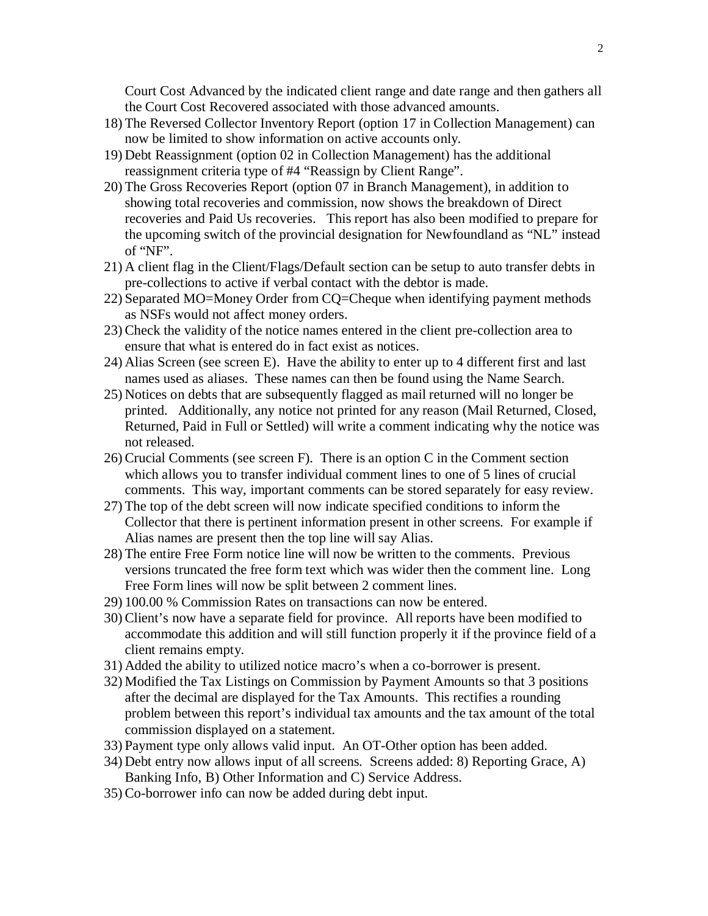Court Cost Advanced by the indicated client range and date range and then gathers all the Court Cost Recovered associated with those advanced amounts.

- 18) The Reversed Collector Inventory Report (option 17 in Collection Management) can now be limited to show information on active accounts only.
- 19) Debt Reassignment (option 02 in Collection Management) has the additional reassignment criteria type of #4 "Reassign by Client Range".
- 20) The Gross Recoveries Report (option 07 in Branch Management), in addition to showing total recoveries and commission, now shows the breakdown of Direct recoveries and Paid Us recoveries. This report has also been modified to prepare for the upcoming switch of the provincial designation for Newfoundland as "NL" instead of "NF".
- 21) A client flag in the Client/Flags/Default section can be setup to auto transfer debts in pre-collections to active if verbal contact with the debtor is made.
- 22) Separated MO=Money Order from CQ=Cheque when identifying payment methods as NSFs would not affect money orders.
- 23) Check the validity of the notice names entered in the client pre-collection area to ensure that what is entered do in fact exist as notices.
- 24) Alias Screen (see screen E). Have the ability to enter up to 4 different first and last names used as aliases. These names can then be found using the Name Search.
- 25) Notices on debts that are subsequently flagged as mail returned will no longer be printed. Additionally, any notice not printed for any reason (Mail Returned, Closed, Returned, Paid in Full or Settled) will write a comment indicating why the notice was not released.
- 26) Crucial Comments (see screen F). There is an option C in the Comment section which allows you to transfer individual comment lines to one of 5 lines of crucial comments. This way, important comments can be stored separately for easy review.
- 27) The top of the debt screen will now indicate specified conditions to inform the Collector that there is pertinent information present in other screens. For example if Alias names are present then the top line will say Alias.
- 28) The entire Free Form notice line will now be written to the comments. Previous versions truncated the free form text which was wider then the comment line. Long Free Form lines will now be split between 2 comment lines.
- 29) 100.00 % Commission Rates on transactions can now be entered.
- 30) Client's now have a separate field for province. All reports have been modified to accommodate this addition and will still function properly it if the province field of a client remains empty.
- 31) Added the ability to utilized notice macro's when a co-borrower is present.
- 32) Modified the Tax Listings on Commission by Payment Amounts so that 3 positions after the decimal are displayed for the Tax Amounts. This rectifies a rounding problem between this report's individual tax amounts and the tax amount of the total commission displayed on a statement.
- 33) Payment type only allows valid input. An OT-Other option has been added.
- 34) Debt entry now allows input of all screens. Screens added: 8) Reporting Grace, A) Banking Info, B) Other Information and C) Service Address.
- 35) Co-borrower info can now be added during debt input.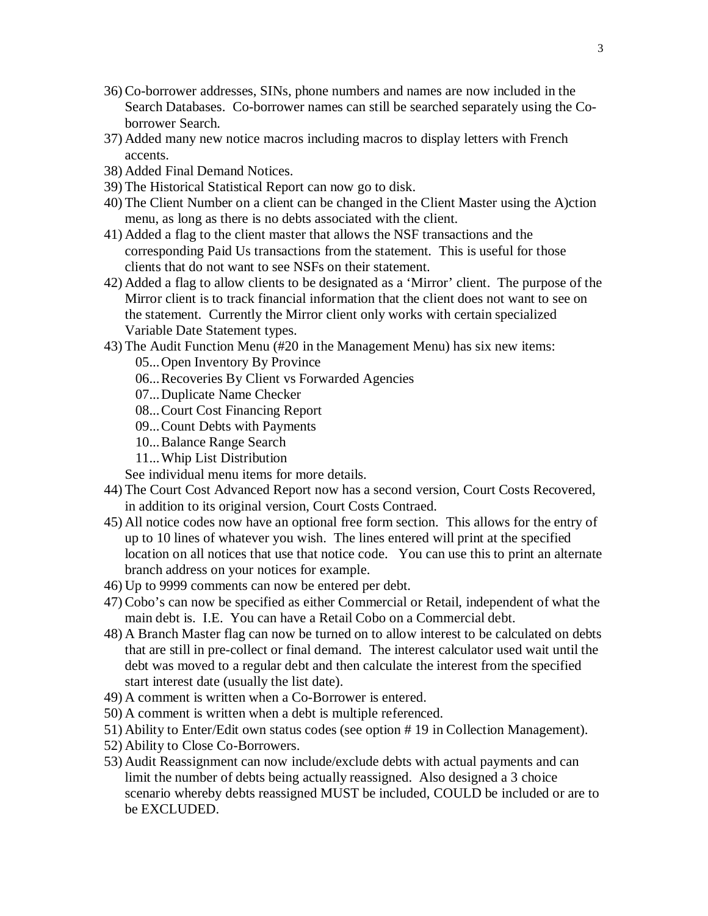- 36) Co-borrower addresses, SINs, phone numbers and names are now included in the Search Databases. Co-borrower names can still be searched separately using the Coborrower Search.
- 37) Added many new notice macros including macros to display letters with French accents.
- 38) Added Final Demand Notices.
- 39) The Historical Statistical Report can now go to disk.
- 40) The Client Number on a client can be changed in the Client Master using the A)ction menu, as long as there is no debts associated with the client.
- 41) Added a flag to the client master that allows the NSF transactions and the corresponding Paid Us transactions from the statement. This is useful for those clients that do not want to see NSFs on their statement.
- 42) Added a flag to allow clients to be designated as a 'Mirror' client. The purpose of the Mirror client is to track financial information that the client does not want to see on the statement. Currently the Mirror client only works with certain specialized Variable Date Statement types.
- 43) The Audit Function Menu (#20 in the Management Menu) has six new items:
	- 05...Open Inventory By Province
	- 06...Recoveries By Client vs Forwarded Agencies
	- 07...Duplicate Name Checker
	- 08...Court Cost Financing Report
	- 09...Count Debts with Payments
	- 10...Balance Range Search
	- 11...Whip List Distribution
	- See individual menu items for more details.
- 44) The Court Cost Advanced Report now has a second version, Court Costs Recovered, in addition to its original version, Court Costs Contraed.
- 45) All notice codes now have an optional free form section. This allows for the entry of up to 10 lines of whatever you wish. The lines entered will print at the specified location on all notices that use that notice code. You can use this to print an alternate branch address on your notices for example.
- 46) Up to 9999 comments can now be entered per debt.
- 47) Cobo's can now be specified as either Commercial or Retail, independent of what the main debt is. I.E. You can have a Retail Cobo on a Commercial debt.
- 48) A Branch Master flag can now be turned on to allow interest to be calculated on debts that are still in pre-collect or final demand. The interest calculator used wait until the debt was moved to a regular debt and then calculate the interest from the specified start interest date (usually the list date).
- 49) A comment is written when a Co-Borrower is entered.
- 50) A comment is written when a debt is multiple referenced.
- 51) Ability to Enter/Edit own status codes (see option # 19 in Collection Management).
- 52) Ability to Close Co-Borrowers.
- 53) Audit Reassignment can now include/exclude debts with actual payments and can limit the number of debts being actually reassigned. Also designed a 3 choice scenario whereby debts reassigned MUST be included, COULD be included or are to be EXCLUDED.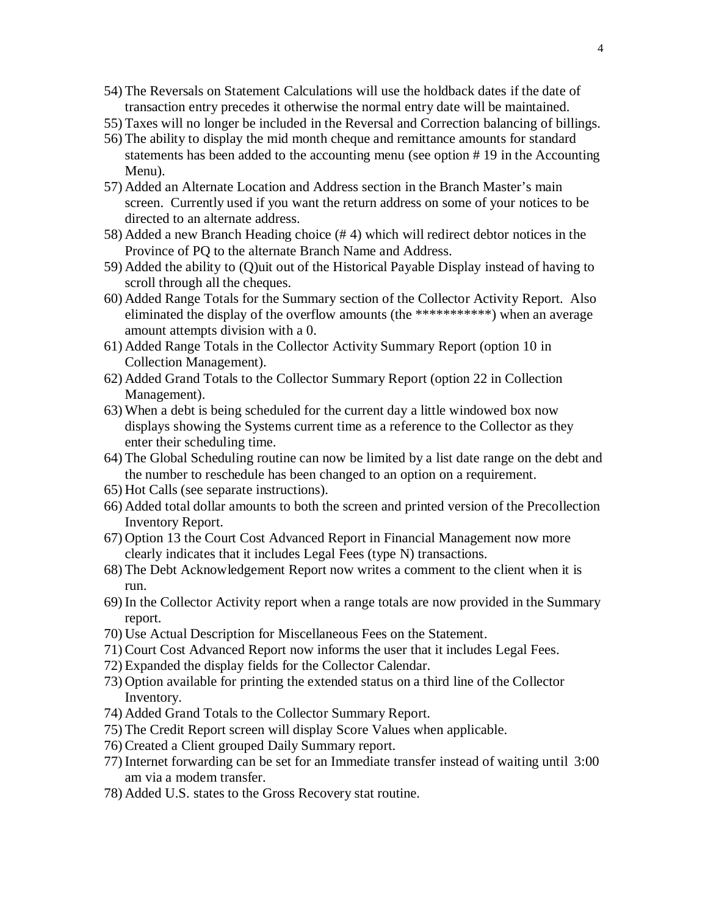- 54) The Reversals on Statement Calculations will use the holdback dates if the date of transaction entry precedes it otherwise the normal entry date will be maintained.
- 55) Taxes will no longer be included in the Reversal and Correction balancing of billings.
- 56) The ability to display the mid month cheque and remittance amounts for standard statements has been added to the accounting menu (see option # 19 in the Accounting Menu).
- 57) Added an Alternate Location and Address section in the Branch Master's main screen. Currently used if you want the return address on some of your notices to be directed to an alternate address.
- 58) Added a new Branch Heading choice (# 4) which will redirect debtor notices in the Province of PQ to the alternate Branch Name and Address.
- 59) Added the ability to (Q)uit out of the Historical Payable Display instead of having to scroll through all the cheques.
- 60) Added Range Totals for the Summary section of the Collector Activity Report. Also eliminated the display of the overflow amounts (the \*\*\*\*\*\*\*\*\*\*\*) when an average amount attempts division with a 0.
- 61) Added Range Totals in the Collector Activity Summary Report (option 10 in Collection Management).
- 62) Added Grand Totals to the Collector Summary Report (option 22 in Collection Management).
- 63) When a debt is being scheduled for the current day a little windowed box now displays showing the Systems current time as a reference to the Collector as they enter their scheduling time.
- 64) The Global Scheduling routine can now be limited by a list date range on the debt and the number to reschedule has been changed to an option on a requirement.
- 65) Hot Calls (see separate instructions).
- 66) Added total dollar amounts to both the screen and printed version of the Precollection Inventory Report.
- 67) Option 13 the Court Cost Advanced Report in Financial Management now more clearly indicates that it includes Legal Fees (type N) transactions.
- 68) The Debt Acknowledgement Report now writes a comment to the client when it is run.
- 69) In the Collector Activity report when a range totals are now provided in the Summary report.
- 70) Use Actual Description for Miscellaneous Fees on the Statement.
- 71) Court Cost Advanced Report now informs the user that it includes Legal Fees.
- 72) Expanded the display fields for the Collector Calendar.
- 73) Option available for printing the extended status on a third line of the Collector Inventory.
- 74) Added Grand Totals to the Collector Summary Report.
- 75) The Credit Report screen will display Score Values when applicable.
- 76) Created a Client grouped Daily Summary report.
- 77) Internet forwarding can be set for an Immediate transfer instead of waiting until 3:00 am via a modem transfer.
- 78) Added U.S. states to the Gross Recovery stat routine.